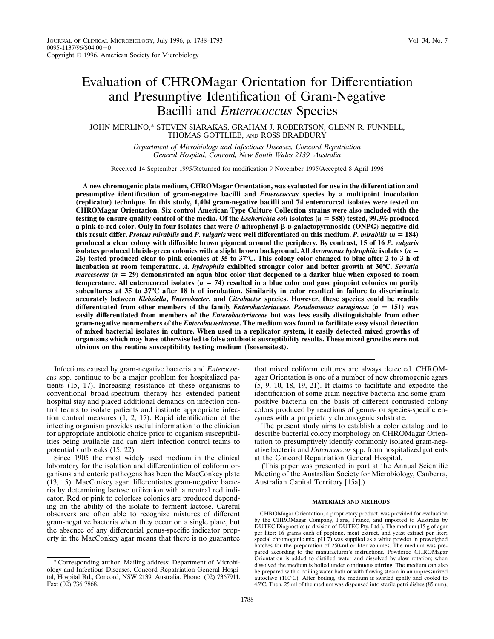# Evaluation of CHROMagar Orientation for Differentiation and Presumptive Identification of Gram-Negative Bacilli and *Enterococcus* Species

JOHN MERLINO,\* STEVEN SIARAKAS, GRAHAM J. ROBERTSON, GLENN R. FUNNELL, THOMAS GOTTLIEB, AND ROSS BRADBURY

> *Department of Microbiology and Infectious Diseases, Concord Repatriation General Hospital, Concord, New South Wales 2139, Australia*

Received 14 September 1995/Returned for modification 9 November 1995/Accepted 8 April 1996

**A new chromogenic plate medium, CHROMagar Orientation, was evaluated for use in the differentiation and presumptive identification of gram-negative bacilli and** *Enterococcus* **species by a multipoint inoculation (replicator) technique. In this study, 1,404 gram-negative bacilli and 74 enterococcal isolates were tested on CHROMagar Orientation. Six control American Type Culture Collection strains were also included with the testing to ensure quality control of the media. Of the** *Escherichia coli* **isolates (** $n = 588$ **) tested, 99.3% produced a pink-to-red color. Only in four isolates that were** *O***-nitrophenyl-**b**-D-galactopyranoside (ONPG) negative did this result differ.** *Proteus mirabilis* **and** *P. vulgaris* **were well differentiated on this medium.** *P. mirabilis* **(***n* 5 **184) produced a clear colony with diffusible brown pigment around the periphery. By contrast, 15 of 16** *P. vulgaris* **isolates produced bluish-green colonies with a slight brown background. All** *Aeromonas hydrophila* **isolates (***n* **= 26) tested produced clear to pink colonies at 35 to 37**&**C. This colony color changed to blue after 2 to 3 h of incubation at room temperature.** *A. hydrophila* **exhibited stronger color and better growth at 30**&**C.** *Serratia marcescens*  $(n = 29)$  demonstrated an aqua blue color that deepened to a darker blue when exposed to room **temperature.** All enterococcal isolates  $(n = 74)$  resulted in a blue color and gave pinpoint colonies on purity subcultures at 35 to 37<sup>o</sup>C after 18 h of incubation. Similarity in color resulted in failure to discriminate **accurately between** *Klebsiella***,** *Enterobacter***, and** *Citrobacter* **species. However, these species could be readily differentiated from other members of the family** *Enterobacteriaceae. Pseudomonas aeruginosa* **(***n* 5 **151) was easily differentiated from members of the** *Enterobacteriaceae* **but was less easily distinguishable from other gram-negative nonmembers of the** *Enterobacteriaceae***. The medium was found to facilitate easy visual detection of mixed bacterial isolates in culture. When used in a replicator system, it easily detected mixed growths of organisms which may have otherwise led to false antibiotic susceptibility results. These mixed growths were not obvious on the routine susceptibility testing medium (Isosensitest).**

Infections caused by gram-negative bacteria and *Enterococcus* spp. continue to be a major problem for hospitalized patients (15, 17). Increasing resistance of these organisms to conventional broad-spectrum therapy has extended patient hospital stay and placed additional demands on infection control teams to isolate patients and institute appropriate infection control measures (1, 2, 17). Rapid identification of the infecting organism provides useful information to the clinician for appropriate antibiotic choice prior to organism susceptibilities being available and can alert infection control teams to potential outbreaks (15, 22).

Since 1905 the most widely used medium in the clinical laboratory for the isolation and differentiation of coliform organisms and enteric pathogens has been the MacConkey plate (13, 15). MacConkey agar differentiates gram-negative bacteria by determining lactose utilization with a neutral red indicator. Red or pink to colorless colonies are produced depending on the ability of the isolate to ferment lactose. Careful observers are often able to recognize mixtures of different gram-negative bacteria when they occur on a single plate, but the absence of any differential genus-specific indicator property in the MacConkey agar means that there is no guarantee

\* Corresponding author. Mailing address: Department of Microbiology and Infectious Diseases. Concord Repatriation General Hospital, Hospital Rd., Concord, NSW 2139, Australia. Phone: (02) 7367911. Fax: (02) 736 7868.

that mixed coliform cultures are always detected. CHROMagar Orientation is one of a number of new chromogenic agars (5, 9, 10, 18, 19, 21). It claims to facilitate and expedite the identification of some gram-negative bacteria and some grampositive bacteria on the basis of different contrasted colony colors produced by reactions of genus- or species-specific enzymes with a proprietary chromogenic substrate.

The present study aims to establish a color catalog and to describe bacterial colony morphology on CHROMagar Orientation to presumptively identify commonly isolated gram-negative bacteria and *Enterococcus* spp. from hospitalized patients at the Concord Repatriation General Hospital.

(This paper was presented in part at the Annual Scientific Meeting of the Australian Society for Microbiology, Canberra, Australian Capital Territory [15a].)

### **MATERIALS AND METHODS**

CHROMagar Orientation, a proprietary product, was provided for evaluation by the CHROMagar Company, Paris, France, and imported to Australia by DUTEC Diagnostics (a division of DUTEC Pty. Ltd.). The medium (15 g of agar per liter; 16 grams each of peptone, meat extract, and yeast extract per liter; special chromogenic mix, pH 7) was supplied as a white powder in preweighed batches for the preparation of 250-ml or liter volumes. The medium was prepared according to the manufacturer's instructions. Powdered CHROMagar Orientation is added to distilled water and dissolved by slow rotation; when dissolved the medium is boiled under continuous stirring. The medium can also be prepared with a boiling water bath or with flowing steam in an unpressurized autoclave  $(100^{\circ}C)$ . After boiling, the medium is swirled gently and cooled to 45°C. Then, 25 ml of the medium was dispensed into sterile petri dishes (85 mm),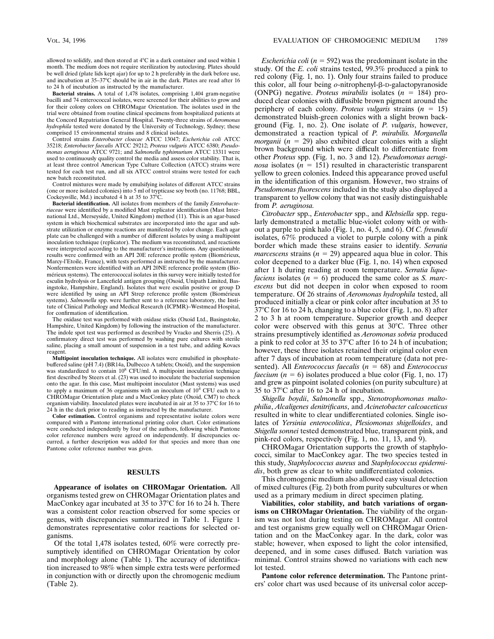allowed to solidify, and then stored at  $4^{\circ}$ C in a dark container and used within 1 month. The medium does not require sterilization by autoclaving. Plates should be well dried (plate lids kept ajar) for up to 2 h preferably in the dark before use, and incubation at  $35-37^{\circ}\text{C}$  should be in air in the dark. Plates are read after 16 to 24 h of incubation as instructed by the manufacturer.

**Bacterial strains.** A total of 1,478 isolates, comprising 1,404 gram-negative bacilli and 74 enterococcal isolates, were screened for their abilities to grow and for their colony colors on CHROMagar Orientation. The isolates used in the trial were obtained from routine clinical specimens from hospitalized patients at the Concord Repatriation General Hospital. Twenty-three strains of *Aeromonas hydrophila* tested were donated by the University of Technology, Sydney; these comprised 15 environmental strains and 8 clinical isolates.

Control strains *Enterobacter cloacae* ATCC 13047; *Escherichia coli* ATCC 35218; *Enterobacter faecalis* ATCC 29212; *Proteus vulgaris* ATCC 6380; *Pseudomonas aeruginosa* ATCC 9721; and *Salmonella typhimurium* ATCC 13311 were used to continuously quality control the media and assess color stability. That is, at least three control American Type Culture Collection (ATCC) strains were tested for each test run, and all six ATCC control strains were tested for each new batch reconstituted.

Control mixtures were made by emulsifying isolates of different ATCC strains (one or more isolated colonies) into 5 ml of trypticase soy broth (no. 11768; BBL, Cockeysville, Md.) incubated 4 h at 35 to  $37^{\circ}$ C.

**Bacterial identification.** All isolates from members of the family *Enterobacteriaceae* were identified by a modified Mast replicator identification (Mast International Ltd., Merseyside, United Kingdom) method (11). This is an agar-based system in which biochemical substrates are incorporated into the agar and substrate utilization or enzyme reactions are manifested by color change. Each agar plate can be challenged with a number of different isolates by using a multipoint inoculation technique (replicator). The medium was reconstituted, and reactions were interpreted according to the manufacturer's instructions. Any questionable results were confirmed with an API 20E reference profile system (Biomérieux, Marcy-l'Etoile, France), with tests performed as instructed by the manufacturer. Nonfermenters were identified with an API 20NE reference profile system (Biomérieux systems). The enterococcal isolates in this survey were initially tested for esculin hydrolysis or Lancefield antigen grouping (Oxoid, Unipath Limited, Basingstoke, Hampshire, England). Isolates that were esculin positive or group D were identified by using an API Strep reference profile system (Biomérieux systems). *Salmonella* spp. were further sent to a reference laboratory, the Institute of Clinical Pathology and Medical Research (ICPMR)–Westmead Hospital, for confirmation of identification.

The oxidase test was performed with oxidase sticks (Oxoid Ltd., Basingstoke, Hampshire, United Kingdom) by following the instruction of the manufacturer. The indole spot test was performed as described by Vracko and Sherris (25). A confirmatory direct test was performed by washing pure cultures with sterile saline, placing a small amount of suspension in a test tube, and adding Kovacs reagent.

**Multipoint inoculation technique.** All isolates were emulsified in phosphatebuffered saline (pH 7.4) (BR14a, Dulbecco A tablets; Oxoid), and the suspension was standardized to contain 10<sup>8</sup> CFU/ml. A multipoint inoculation technique first described by Steers et al. (23) was used to inoculate the bacterial suspension onto the agar. In this case, Mast multipoint inoculator (Mast systems) was used to apply a maximum of 36 organisms with an inoculum of  $10^4$  CFU each to a CHROMagar Orientation plate and a MacConkey plate (Oxoid, CM7) to check organism viability. Inoculated plates were incubated in air at 35 to  $37^{\circ}$ C for 16 to 24 h in the dark prior to reading as instructed by the manufacturer.

**Color estimation.** Control organisms and representative isolate colors were compared with a Pantone international printing color chart. Color estimations were conducted independently by four of the authors, following which Pantone color reference numbers were agreed on independently. If discrepancies occurred, a further description was added for that species and more than one Pantone color reference number was given.

### **RESULTS**

**Appearance of isolates on CHROMagar Orientation.** All organisms tested grew on CHROMagar Orientation plates and MacConkey agar incubated at 35 to  $37^{\circ}$ C for 16 to 24 h. There was a consistent color reaction observed for some species or genus, with discrepancies summarized in Table 1. Figure 1 demonstrates representative color reactions for selected organisms.

Of the total 1,478 isolates tested, 60% were correctly presumptively identified on CHROMagar Orientation by color and morphology alone (Table 1). The accuracy of identification increased to 98% when simple extra tests were performed in conjunction with or directly upon the chromogenic medium (Table 2).

*Escherichia coli* ( $n = 592$ ) was the predominant isolate in the study. Of the *E. coli* strains tested, 99.3% produced a pink to red colony (Fig. 1, no. 1). Only four strains failed to produce this color, all four being *o*-nitrophenyl-β-D-galactopyranoside (ONPG) negative. *Proteus mirabilis* isolates  $(n = 184)$  produced clear colonies with diffusible brown pigment around the periphery of each colony. *Proteus vulgaris* strains  $(n = 15)$ demonstrated bluish-green colonies with a slight brown background (Fig. 1, no. 2). One isolate of *P. vulgaris*, however, demonstrated a reaction typical of *P. mirabilis. Morganella morganii*  $(n = 29)$  also exhibited clear colonies with a slight brown background which were difficult to differentiate from other *Proteus* spp. (Fig. 1, no. 3 and 12). *Pseudomonas aeruginosa* isolates ( $n = 151$ ) resulted in characteristic transparent yellow to green colonies. Indeed this appearance proved useful in the identification of this organism. However, two strains of *Pseudomonas fluorescens* included in the study also displayed a transparent to yellow colony that was not easily distinguishable from *P. aeruginosa.*

*Citrobacter* spp., *Enterobacter* spp., and *Klebsiella* spp. regularly demonstrated a metallic blue-violet colony with or without a purple to pink halo (Fig. 1, no. 4, 5, and 6). Of *C. freundii* isolates, 67% produced a violet to purple colony with a pink border which made these strains easier to identify. *Serratia marcescens* strains  $(n = 29)$  appeared aqua blue in color. This color deepened to a darker blue (Fig. 1, no. 14) when exposed after 1 h during reading at room temperature. *Serratia liquefaciens* isolates  $(n = 6)$  produced the same color as *S. marcescens* but did not deepen in color when exposed to room temperature. Of 26 strains of *Aeromonas hydrophila* tested, all produced initially a clear or pink color after incubation at 35 to  $37^{\circ}$ C for 16 to 24 h, changing to a blue color (Fig. 1, no. 8) after 2 to 3 h at room temperature. Superior growth and deeper color were observed with this genus at  $30^{\circ}$ C. Three other strains presumptively identified as *Aeromonas sobria* produced a pink to red color at 35 to  $37^{\circ}$ C after 16 to 24 h of incubation; however, these three isolates retained their original color even after 7 days of incubation at room temperature (data not presented). All *Enterococcus faecalis* ( $n = 68$ ) and *Enterococcus faecium*  $(n = 6)$  isolates produced a blue color (Fig. 1, no. 17) and grew as pinpoint isolated colonies (on purity subculture) at 35 to  $37^{\circ}$ C after 16 to 24 h of incubation.

*Shigella boydii*, *Salmonella* spp., *Stenotrophomonas maltophilia*, *Alcaligenes denitrificans*, and *Acinetobacter calcoaceticus* resulted in white to clear undifferentiated colonies. Single isolates of *Yersinia enterocolitica*, *Plesiomonas shigelloides*, and *Shigella sonnei* tested demonstrated blue, transparent pink, and pink-red colors, respectively (Fig. 1, no. 11, 13, and 9).

CHROMagar Orientation supports the growth of staphylococci, similar to MacConkey agar. The two species tested in this study, *Staphylococcus aureus* and *Staphylococcus epidermidis*, both grew as clear to white undifferentiated colonies.

This chromogenic medium also allowed easy visual detection of mixed cultures (Fig. 2) both from purity subcultures or when used as a primary medium in direct specimen plating.

**Viabilities, color stability, and batch variations of organisms on CHROMagar Orientation.** The viability of the organism was not lost during testing on CHROMagar. All control and test organisms grew equally well on CHROMagar Orientation and on the MacConkey agar. In the dark, color was stable; however, when exposed to light the color intensified, deepened, and in some cases diffused. Batch variation was minimal. Control strains showed no variations with each new lot tested.

**Pantone color reference determination.** The Pantone printers' color chart was used because of its universal color accep-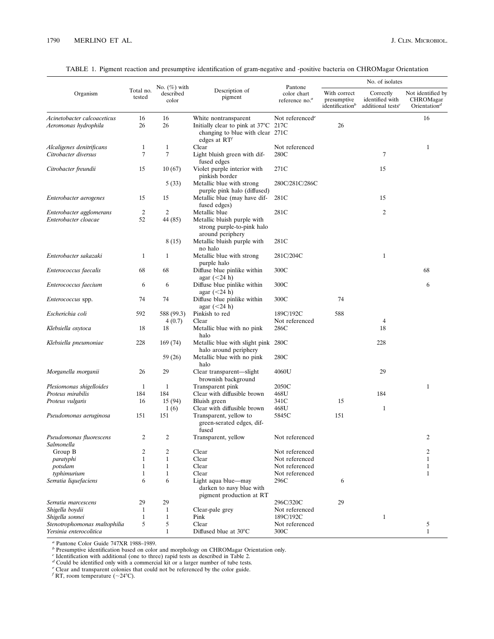|                                                     | Total no.<br>tested          | No. $(\%)$ with<br>described<br>color |                                                                                                                    |                                                      | No. of isolates                                            |                                                               |                                                                                |
|-----------------------------------------------------|------------------------------|---------------------------------------|--------------------------------------------------------------------------------------------------------------------|------------------------------------------------------|------------------------------------------------------------|---------------------------------------------------------------|--------------------------------------------------------------------------------|
| Organism                                            |                              |                                       | Description of<br>pigment                                                                                          | Pantone<br>color chart<br>reference no. <sup>a</sup> | With correct<br>presumptive<br>identification <sup>b</sup> | Correctly<br>identified with<br>additional tests <sup>c</sup> | Not identified by<br><b>CHROMagar</b><br>Orientation <sup><math>d</math></sup> |
| Acinetobacter calcoaceticus<br>Aeromonas hydrophila | 16<br>26                     | 16<br>26                              | White nontransparent<br>Initially clear to pink at 37°C 217C<br>changing to blue with clear 271C<br>edges at $RTt$ | Not referenced <sup>e</sup>                          | 26                                                         |                                                               | 16                                                                             |
| Alcaligenes denitrificans                           | $\mathbf{1}$                 | $\mathbf{1}$                          | Clear                                                                                                              | Not referenced                                       |                                                            |                                                               | $\mathbf{1}$                                                                   |
| Citrobacter diversus                                | 7                            | $\tau$                                | Light bluish green with dif-<br>fused edges                                                                        | 280C                                                 |                                                            | 7                                                             |                                                                                |
| Citrobacter freundii                                | 15                           | 10 (67)                               | Violet purple interior with<br>pinkish border                                                                      | 271C                                                 |                                                            | 15                                                            |                                                                                |
|                                                     |                              | 5(33)                                 | Metallic blue with strong                                                                                          | 280C/281C/286C                                       |                                                            |                                                               |                                                                                |
| Enterobacter aerogenes                              | 15                           | 15                                    | purple pink halo (diffused)<br>Metallic blue (may have dif-<br>fused edges)                                        | 281C                                                 |                                                            | 15                                                            |                                                                                |
| Enterobacter agglomerans                            | 2                            | 2                                     | Metallic blue                                                                                                      | 281C                                                 |                                                            | $\overline{c}$                                                |                                                                                |
| Enterobacter cloacae                                | 52                           | 44 (85)                               | Metallic bluish purple with<br>strong purple-to-pink halo<br>around periphery                                      |                                                      |                                                            |                                                               |                                                                                |
|                                                     |                              | 8 (15)                                | Metallic bluish purple with<br>no halo                                                                             | 281C                                                 |                                                            |                                                               |                                                                                |
| Enterobacter sakazaki                               | 1                            | 1                                     | Metallic blue with strong<br>purple halo                                                                           | 281C/204C                                            |                                                            | $\mathbf{1}$                                                  |                                                                                |
| Enterococcus faecalis                               | 68                           | 68                                    | Diffuse blue pinlike within<br>agar $(<24 h)$                                                                      | 300C                                                 |                                                            |                                                               | 68                                                                             |
| Enterococcus faecium                                | 6                            | 6                                     | Diffuse blue pinlike within<br>agar $(<24 h)$                                                                      | 300C                                                 |                                                            |                                                               | 6                                                                              |
| Enterococcus spp.                                   | 74                           | 74                                    | Diffuse blue pinlike within<br>agar $(<24 h)$                                                                      | 300C                                                 | 74                                                         |                                                               |                                                                                |
| Escherichia coli                                    | 592                          | 588 (99.3)                            | Pinkish to red                                                                                                     | 189C/192C                                            | 588                                                        |                                                               |                                                                                |
| Klebsiella oxytoca                                  | 18                           | 4(0.7)<br>18                          | Clear<br>Metallic blue with no pink<br>halo                                                                        | Not referenced<br>286C                               |                                                            | 4<br>18                                                       |                                                                                |
| Klebsiella pneumoniae                               | 228                          | 169 (74)                              | Metallic blue with slight pink 280C<br>halo around periphery                                                       |                                                      |                                                            | 228                                                           |                                                                                |
|                                                     |                              | 59 (26)                               | Metallic blue with no pink<br>halo                                                                                 | 280C                                                 |                                                            |                                                               |                                                                                |
| Morganella morganii                                 | 26                           | 29                                    | Clear transparent—slight<br>brownish background                                                                    | 4060U                                                |                                                            | 29                                                            |                                                                                |
| Plesiomonas shigelloides                            | 1                            | $\mathbf{1}$                          | Transparent pink                                                                                                   | 2050C                                                |                                                            |                                                               | $\mathbf{1}$                                                                   |
| Proteus mirabilis                                   | 184<br>16                    | 184<br>15(94)                         | Clear with diffusible brown<br>Bluish green                                                                        | 468U<br>341C                                         | 15                                                         | 184                                                           |                                                                                |
| Proteus vulgaris                                    |                              | 1(6)                                  | Clear with diffusible brown                                                                                        | 468U                                                 |                                                            | $\mathbf{1}$                                                  |                                                                                |
| Pseudomonas aeruginosa                              | 151                          | 151                                   | Transparent, yellow to<br>green-serated edges, dif-<br>fused                                                       | 5845C                                                | 151                                                        |                                                               |                                                                                |
| Pseudomonas fluorescens<br>Salmonella               | 2                            | $\mathfrak{D}$                        | Transparent, yellow                                                                                                | Not referenced                                       |                                                            |                                                               | $\mathfrak{D}$                                                                 |
| Group B                                             | 2                            | $\overline{c}$                        | Clear                                                                                                              | Not referenced                                       |                                                            |                                                               | 2                                                                              |
| paratyphi                                           | $\mathbf{1}$                 | $\mathbf{1}$                          | Clear                                                                                                              | Not referenced                                       |                                                            |                                                               | 1                                                                              |
| potsdam<br>typhimurium                              | $\mathbf{1}$<br>$\mathbf{1}$ | $\mathbf{1}$<br>$\mathbf{1}$          | Clear<br>Clear                                                                                                     | Not referenced<br>Not referenced                     |                                                            |                                                               | 1<br>1                                                                         |
| Serratia liquefaciens                               | 6                            | 6                                     | Light aqua blue-may<br>darken to navy blue with                                                                    | 296C                                                 | 6                                                          |                                                               |                                                                                |
| Serratia marcescens                                 | 29                           | 29                                    | pigment production at RT                                                                                           | 296C/320C                                            | 29                                                         |                                                               |                                                                                |
| Shigella boydii                                     | $\mathbf{1}$                 | $\mathbf{1}$                          | Clear-pale grey                                                                                                    | Not referenced                                       |                                                            |                                                               |                                                                                |
| Shigella sonnei                                     | $\mathbf{1}$                 | $\mathbf{1}$                          | Pink                                                                                                               | 189C/192C                                            |                                                            | $\mathbf{1}$                                                  |                                                                                |
| Stenotrophomonas maltophilia                        | 5                            | 5                                     | Clear                                                                                                              | Not referenced                                       |                                                            |                                                               | 5                                                                              |
| Yersinia enterocolitica                             |                              | $\mathbf{1}$                          | Diffused blue at 30°C                                                                                              | 300C                                                 |                                                            |                                                               | $\mathbf{1}$                                                                   |

|  |  |  |  |  |  |  |  |  | TABLE 1. Pigment reaction and presumptive identification of gram-negative and -positive bacteria on CHROMagar Orientation |  |
|--|--|--|--|--|--|--|--|--|---------------------------------------------------------------------------------------------------------------------------|--|
|--|--|--|--|--|--|--|--|--|---------------------------------------------------------------------------------------------------------------------------|--|

<sup>*a*</sup> Pantone Color Guide 747XR 1988–1989.<br><sup>*b*</sup> Presumptive identification based on color and morphology on CHROMagar Orientation only.<br><sup>*c*</sup> Identification with additional (one to three) rapid tests as described in Tabl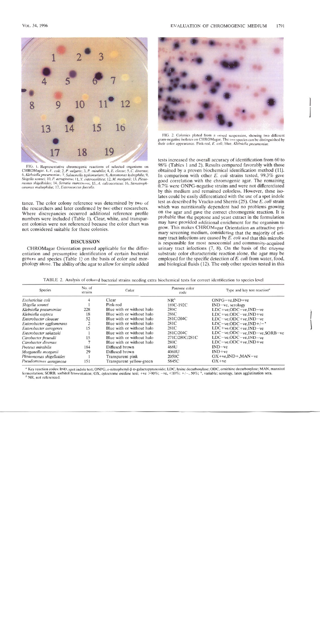

FIG. 1. Representative chromogenic reactions of selected organisms on CHROMagar. 1, E. coli; 2, P. vulgaris; 3, P. mirabilis; 4, E. clocae; 5, C. diversus; 6, Klebsiella pneumoniae; 7, Salmonella typhimurium; 8, Aeromonas Shigella sonnei; 10, P. aeruginosa; 11, Y. enterocolitica; 12, M. morganii; 13, Plesiomonas shigelloides; 14, Serratia marcescens; 15, A. calcoaceticus; 16, Stenotrophomonas maltophilia; 17, Enterococcus faecalis.

tance. The color colony reference was determined by two of the researchers and later confirmed by two other researchers. Where discrepancies occurred additional reference profile numbers were included (Table 1). Clear, white, and transparent colonies were not referenced because the color chart was not considered suitable for these colonies.

## **DISCUSSION**

CHROMagar Orientation proved applicable for the differentiation and presumptive identification of certain bacterial genera and species (Table 1) on the basis of color and morphology alone. The ability of the agar to allow for simple added



FIG. 2. Colonies plated from a mixed suspension, showing two different gram-negative isolates on CHROMagar. The two species can be distinguished by their color appearance. Pink-red, E. coli; blue, Klebsiella pneumoniae

tests increased the overall accuracy of identification from 60 to 98% (Tables 1 and 2). Results compared favorably with those obtained by a proven biochemical identification method (11). In comparison with other E. coli strains tested, 99.3% gave good correlation with the chromogenic agar. The remaining 0.7% were ONPG-negative strains and were not differentiated by this medium and remained colorless. However, these isolates could be easily differentiated with the use of a spot indole test as described by Vracko and Sherris (25). One E. coli strain which was nutritionally dependent had no problems growing on the agar and gave the correct chromogenic reaction. It is probable that the peptone and yeast extract in the formulation may have provided additional enrichment for the organism to grow. This makes CHROMagar Orientation an attractive primary screening medium, considering that the majority of urinary tract infections are caused by E. coli and that this microbe is responsible for most nosocomial and community-acquired urinary tract infections  $(7, 8)$ . On the basis of the enzyme substrate color characteristic reaction alone, the agar may be employed for the specific detection of E. coli from water, food, and biological fluids (12). The only other species tested in this

TABLE 2. Analysis of colored bacterial strains needing extra biochemical tests for correct identification to species level

| <b>Species</b>           | No. of<br>strains | Color                     | Pantone color<br>code | Type and key test reaction"       |  |  |
|--------------------------|-------------------|---------------------------|-----------------------|-----------------------------------|--|--|
| Escherichia coli         |                   | Clear                     | $NR^b$                | $ONPG-ve$ , $IND+ve$              |  |  |
| Shigella sonnei          |                   | Pink-red                  | 189C-192C             | $IND-ve$ , serology               |  |  |
| Klebsiella pneumoniae    | 228               | Blue with or without halo | 280C                  | $LDC+ve, ODC-ve, IND-ve$          |  |  |
| Klebsiella oxytoca       | 18                | Blue with or without halo | 286C                  | $LDC+ve, ODC-ve, IND+ve$          |  |  |
| Enterobacter cloacae     | 52                | Blue with or without halo | 281C/204C             | $LDC-ve, ODC+ve, IND-ve$          |  |  |
| Enterobacter agglomerans |                   | Blue with or without halo | 281C                  | $LDC-ve, ODC-ve, IND+/-$          |  |  |
| Enterobacter aerogenes   | 15                | Blue with or without halo | 281C                  | $LDC+ve, ODC+ve, IND-ve$          |  |  |
| Enterobacter sakazaki    |                   | Blue with or without halo | 281C/204C             | $LDC-ve, ODC-ve, IND-ve, SORB-ve$ |  |  |
| Citrobacter freundii     | 15                | Blue with or without halo | 271C/280C/281C        | $LDC-ve, ODC-ve, IND-ve$          |  |  |
| Citrobacter diversus     |                   | Blue with or without halo | 280C                  | $LDC-ve, ODC+ve, IND+ve$          |  |  |
| Proteus mirabilis        | 184               | Diffused brown            | 468U                  | $IND - ve$                        |  |  |
| Morganella morganii      | 29                | Diffused brown            | 4060U                 | $IND+ve$                          |  |  |
| Plesiomonas shigelloides |                   | Transparent pink          | 2050C                 | $OX+ve, IND+MAN-ve$               |  |  |
| Pseudomonas aeruginosa   | 151               | Transparent yellow-green  | 5845C                 | $OX + ve$                         |  |  |

<sup>a</sup> Key reaction codes: IND, spot indole test; ONPG, o-nitrophenyl-ß-D-galactopyranoside; LDC, lysine decarboxylase; ODC, ornithine decarboxylase; MAN, mannitol fermentation; SORB, sorbitol fermentation; OX, cytocrome oxidase test; +ve >90%; -ve, <10%; +/-, 50%; -, variable; serology, latex agglutination sera.

NR, not referenced.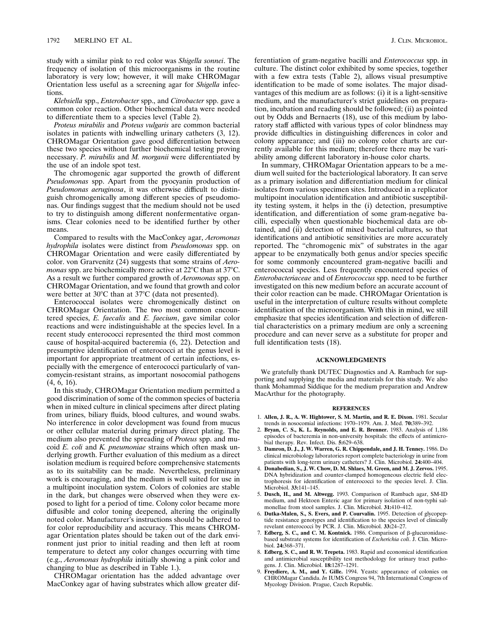study with a similar pink to red color was *Shigella sonnei*. The frequency of isolation of this microorganisms in the routine laboratory is very low; however, it will make CHROMagar Orientation less useful as a screening agar for *Shigella* infections.

*Klebsiella* spp., *Enterobacter* spp., and *Citrobacter* spp. gave a common color reaction. Other biochemical data were needed to differentiate them to a species level (Table 2).

*Proteus mirabilis* and *Proteus vulgaris* are common bacterial isolates in patients with indwelling urinary catheters (3, 12). CHROMagar Orientation gave good differentiation between these two species without further biochemical testing proving necessary. *P. mirabilis* and *M. morganii* were differentiated by the use of an indole spot test.

The chromogenic agar supported the growth of different *Pseudomonas* spp. Apart from the pyocyanin production of *Pseudomonas aeruginosa*, it was otherwise difficult to distinguish chromogenically among different species of pseudomonas. Our findings suggest that the medium should not be used to try to distinguish among different nonfermentative organisms. Clear colonies need to be identified further by other means.

Compared to results with the MacConkey agar, *Aeromonas hydrophila* isolates were distinct from *Pseudomonas* spp. on CHROMagar Orientation and were easily differentiated by color. von Grarvenitz (24) suggests that some strains of *Aeromonas* spp. are biochemically more active at 22°C than at 37°C. As a result we further compared growth of *Aeromonas* spp. on CHROMagar Orientation, and we found that growth and color were better at  $30^{\circ}$ C than at  $37^{\circ}$ C (data not presented).

Enterococcal isolates were chromogenically distinct on CHROMagar Orientation. The two most common encountered species, *E. faecalis* and *E. faecium*, gave similar color reactions and were indistinguishable at the species level. In a recent study enterococci represented the third most common cause of hospital-acquired bacteremia (6, 22). Detection and presumptive identification of enterococci at the genus level is important for appropriate treatment of certain infections, especially with the emergence of enterococci particularly of vancomycin-resistant strains, as important nosocomial pathogens (4, 6, 16).

In this study, CHROMagar Orientation medium permitted a good discrimination of some of the common species of bacteria when in mixed culture in clinical specimens after direct plating from urines, biliary fluids, blood cultures, and wound swabs. No interference in color development was found from mucus or other cellular material during primary direct plating. The medium also prevented the spreading of *Proteus* spp. and mucoid *E. coli* and *K. pneumoniae* strains which often mask underlying growth. Further evaluation of this medium as a direct isolation medium is required before comprehensive statements as to its suitability can be made. Nevertheless, preliminary work is encouraging, and the medium is well suited for use in a multipoint inoculation system. Colors of colonies are stable in the dark, but changes were observed when they were exposed to light for a period of time. Colony color became more diffusible and color toning deepened, altering the originally noted color. Manufacturer's instructions should be adhered to for color reproducibility and accuracy. This means CHROMagar Orientation plates should be taken out of the dark environment just prior to initial reading and then left at room temperature to detect any color changes occurring with time (e.g., *Aeromonas hydrophila* initially showing a pink color and changing to blue as described in Table 1.).

CHROMagar orientation has the added advantage over MacConkey agar of having substrates which allow greater differentiation of gram-negative bacilli and *Enterococcus* spp. in culture. The distinct color exhibited by some species, together with a few extra tests (Table 2), allows visual presumptive identification to be made of some isolates. The major disadvantages of this medium are as follows: (i) it is a light-sensitive medium, and the manufacturer's strict guidelines on preparation, incubation and reading should be followed; (ii) as pointed out by Odds and Bernaerts (18), use of this medium by laboratory staff afflicted with various types of color blindness may provide difficulties in distinguishing differences in color and colony appearance; and (iii) no colony color charts are currently available for this medium; therefore there may be variability among different laboratory in-house color charts.

In summary, CHROMagar Orientation appears to be a medium well suited for the bacteriological laboratory. It can serve as a primary isolation and differentiation medium for clinical isolates from various specimen sites. Introduced in a replicator multipoint inoculation identification and antibiotic susceptibility testing system, it helps in the (i) detection, presumptive identification, and differentiation of some gram-negative bacilli, especially when questionable biochemical data are obtained, and (ii) detection of mixed bacterial cultures, so that identifications and antibiotic sensitivities are more accurately reported. The "chromogenic mix" of substrates in the agar appear to be enzymatically both genus and/or species specific for some commonly encountered gram-negative bacilli and enterococcal species. Less frequently encountered species of *Enterobacteriaceae* and of *Enterococcus* spp. need to be further investigated on this new medium before an accurate account of their color reaction can be made. CHROMagar Orientation is useful in the interpretation of culture results without complete identification of the microorganism. With this in mind, we still emphasize that species identification and selection of differential characteristics on a primary medium are only a screening procedure and can never serve as a substitute for proper and full identification tests (18).

## **ACKNOWLEDGMENTS**

We gratefully thank DUTEC Diagnostics and A. Rambach for supporting and supplying the media and materials for this study. We also thank Mohammad Siddique for the medium preparation and Andrew MacArthur for the photography.

#### **REFERENCES**

- 1. **Allen, J. R., A. W. Hightower, S. M. Martin, and R. E. Dixon.** 1981. Secular trends in nosocomial infections: 1970–1979. Am. J. Med. **70:**389–392.
- 2. **Bryan, C. S., K. L. Reynolds, and E. R. Brenner.** 1983. Analysis of 1,186 episodes of bacteremia in non-university hospitals: the effects of antimicrobial therapy. Rev. Infect. Dis. **5:**629–638.
- 3. **Damron, D. J., J. W. Warren, G. R. Chippendale, and J. H. Tenney.** 1986. Do clinical microbiology laboratories report complete bacteriology in urine from patients with long-term urinary catheters? J. Clin. Microbiol. **24:**400–404.
- 4. **Donabedian, S., J. W. Chow, D. M. Shlaes, M. Green, and M. J. Zervos.** 1995. DNA hybridization and counter-clamped homogeneous electric field electrophoresis for identification of enterococci to the species level. J. Clin. Microbiol. **33:**141–145.
- 5. **Dusch, H., and M. Altwegg.** 1993. Comparison of Rambach agar, SM-ID medium, and Hektoen Enteric agar for primary isolation of non-typhi sal-monellae from stool samples. J. Clin. Microbiol. **31:**410–412.
- 6. **Dutka-Malen, S., S. Evers, and P. Courvalin.** 1995. Detection of glycopeptide resistance genotypes and identification to the species level of clinically revelant enterococci by PCR. J. Clin. Microbiol. **33:**24–27.
- 7. **Edberg, S. C., and C. M. Kontnick.** 1986. Comparison of β-glucuronidasebased substrate systems for identification of *Escherichia coli*. J. Clin. Microbiol. **24:**368–371.
- 8. **Edberg, S. C., and R. W. Trepeta.** 1983. Rapid and economical identification and antimicrobial susceptibility test methodology for urinary tract pathogens. J. Clin. Microbiol. **18:**1287–1291.
- 9. **Freydiere, A. M., and Y. Gille.** 1994. Yeasts: appearance of colonies on CHROMagar Candida. *In* IUMS Congress 94, 7th International Congress of Mycology Division. Prague, Czech Republic.